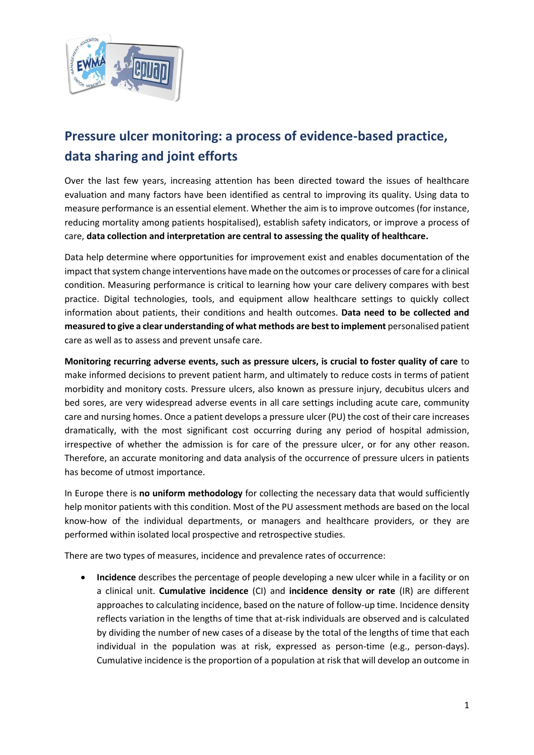

## **Pressure ulcer monitoring: a process of evidence-based practice, data sharing and joint efforts**

Over the last few years, increasing attention has been directed toward the issues of healthcare evaluation and many factors have been identified as central to improving its quality. Using data to measure performance is an essential element. Whether the aim is to improve outcomes (for instance, reducing mortality among patients hospitalised), establish safety indicators, or improve a process of care, **data collection and interpretation are central to assessing the quality of healthcare.**

Data help determine where opportunities for improvement exist and enables documentation of the impact that system change interventions have made on the outcomes or processes of care for a clinical condition. Measuring performance is critical to learning how your care delivery compares with best practice. Digital technologies, tools, and equipment allow healthcare settings to quickly collect information about patients, their conditions and health outcomes. **Data need to be collected and measured to give a clear understanding of what methods are best to implement** personalised patient care as well as to assess and prevent unsafe care.

**Monitoring recurring adverse events, such as pressure ulcers, is crucial to foster quality of care** to make informed decisions to prevent patient harm, and ultimately to reduce costs in terms of patient morbidity and monitory costs. Pressure ulcers, also known as pressure injury, decubitus ulcers and bed sores, are very widespread adverse events in all care settings including acute care, community care and nursing homes. Once a patient develops a pressure ulcer (PU) the cost of their care increases dramatically, with the most significant cost occurring during any period of hospital admission, irrespective of whether the admission is for care of the pressure ulcer, or for any other reason. Therefore, an accurate monitoring and data analysis of the occurrence of pressure ulcers in patients has become of utmost importance.

In Europe there is **no uniform methodology** for collecting the necessary data that would sufficiently help monitor patients with this condition. Most of the PU assessment methods are based on the local know-how of the individual departments, or managers and healthcare providers, or they are performed within isolated local prospective and retrospective studies.

There are two types of measures, incidence and prevalence rates of occurrence:

• **Incidence** describes the percentage of people developing a new ulcer while in a facility or on a clinical unit. **Cumulative incidence** (CI) and **incidence density or rate** (IR) are different approaches to calculating incidence, based on the nature of follow-up time. Incidence density reflects variation in the lengths of time that at-risk individuals are observed and is calculated by dividing the number of new cases of a disease by the total of the lengths of time that each individual in the population was at risk, expressed as person-time (e.g., person-days). Cumulative incidence is the proportion of a population at risk that will develop an outcome in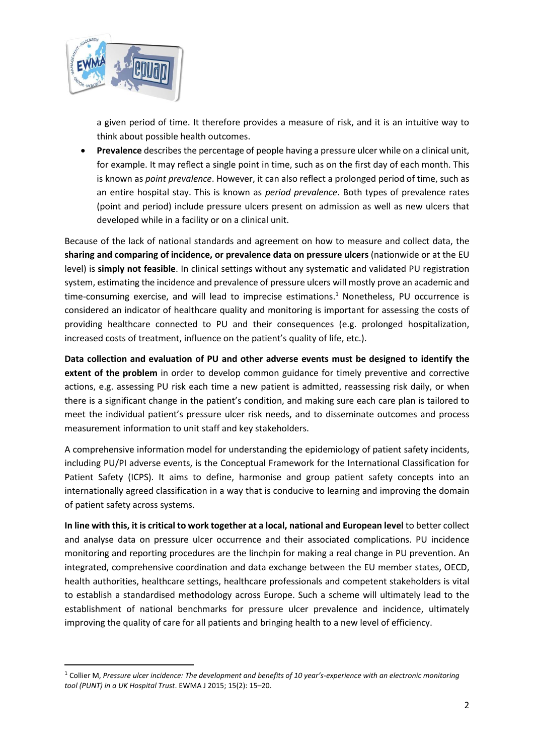

a given period of time. It therefore provides a measure of risk, and it is an intuitive way to think about possible health outcomes.

• **Prevalence** describes the percentage of people having a pressure ulcer while on a clinical unit, for example. It may reflect a single point in time, such as on the first day of each month. This is known as *point prevalence*. However, it can also reflect a prolonged period of time, such as an entire hospital stay. This is known as *period prevalence*. Both types of prevalence rates (point and period) include pressure ulcers present on admission as well as new ulcers that developed while in a facility or on a clinical unit.

Because of the lack of national standards and agreement on how to measure and collect data, the **sharing and comparing of incidence, or prevalence data on pressure ulcers** (nationwide or at the EU level) is **simply not feasible**. In clinical settings without any systematic and validated PU registration system, estimating the incidence and prevalence of pressure ulcers will mostly prove an academic and time-consuming exercise, and will lead to imprecise estimations. <sup>1</sup> Nonetheless, PU occurrence is considered an indicator of healthcare quality and monitoring is important for assessing the costs of providing healthcare connected to PU and their consequences (e.g. prolonged hospitalization, increased costs of treatment, influence on the patient's quality of life, etc.).

**Data collection and evaluation of PU and other adverse events must be designed to identify the extent of the problem** in order to develop common guidance for timely preventive and corrective actions, e.g. assessing PU risk each time a new patient is admitted, reassessing risk daily, or when there is a significant change in the patient's condition, and making sure each care plan is tailored to meet the individual patient's pressure ulcer risk needs, and to disseminate outcomes and process measurement information to unit staff and key stakeholders.

A comprehensive information model for understanding the epidemiology of patient safety incidents, including PU/PI adverse events, is the Conceptual Framework for the International Classification for Patient Safety (ICPS). It aims to define, harmonise and group patient safety concepts into an internationally agreed classification in a way that is conducive to learning and improving the domain of patient safety across systems.

**In line with this, it is critical to work together at a local, national and European level** to better collect and analyse data on pressure ulcer occurrence and their associated complications. PU incidence monitoring and reporting procedures are the linchpin for making a real change in PU prevention. An integrated, comprehensive coordination and data exchange between the EU member states, OECD, health authorities, healthcare settings, healthcare professionals and competent stakeholders is vital to establish a standardised methodology across Europe. Such a scheme will ultimately lead to the establishment of national benchmarks for pressure ulcer prevalence and incidence, ultimately improving the quality of care for all patients and bringing health to a new level of efficiency.

<sup>1</sup> Collier M, *Pressure ulcer incidence: The development and benefits of 10 year's-experience with an electronic monitoring tool (PUNT) in a UK Hospital Trust*. EWMA J 2015; 15(2): 15–20.